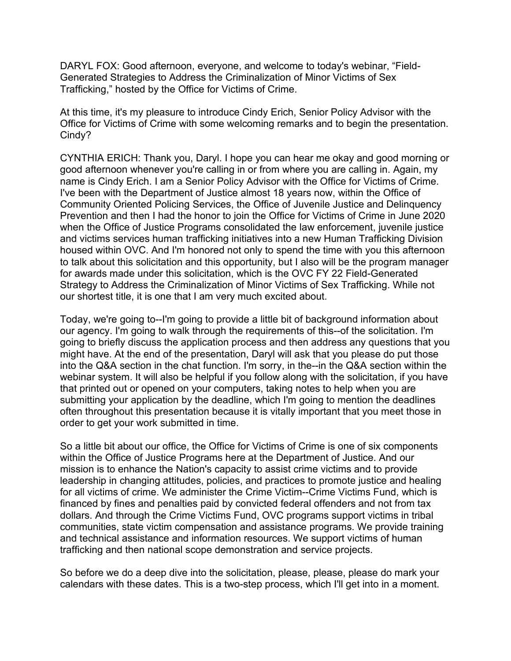DARYL FOX: Good afternoon, everyone, and welcome to today's webinar, "Field-Generated Strategies to Address the Criminalization of Minor Victims of Sex Trafficking," hosted by the Office for Victims of Crime.

At this time, it's my pleasure to introduce Cindy Erich, Senior Policy Advisor with the Office for Victims of Crime with some welcoming remarks and to begin the presentation. Cindy?

CYNTHIA ERICH: Thank you, Daryl. I hope you can hear me okay and good morning or good afternoon whenever you're calling in or from where you are calling in. Again, my name is Cindy Erich. I am a Senior Policy Advisor with the Office for Victims of Crime. I've been with the Department of Justice almost 18 years now, within the Office of Community Oriented Policing Services, the Office of Juvenile Justice and Delinquency Prevention and then I had the honor to join the Office for Victims of Crime in June 2020 when the Office of Justice Programs consolidated the law enforcement, juvenile justice and victims services human trafficking initiatives into a new Human Trafficking Division housed within OVC. And I'm honored not only to spend the time with you this afternoon to talk about this solicitation and this opportunity, but I also will be the program manager for awards made under this solicitation, which is the OVC FY 22 Field-Generated Strategy to Address the Criminalization of Minor Victims of Sex Trafficking. While not our shortest title, it is one that I am very much excited about.

Today, we're going to--I'm going to provide a little bit of background information about our agency. I'm going to walk through the requirements of this--of the solicitation. I'm going to briefly discuss the application process and then address any questions that you might have. At the end of the presentation, Daryl will ask that you please do put those into the Q&A section in the chat function. I'm sorry, in the--in the Q&A section within the webinar system. It will also be helpful if you follow along with the solicitation, if you have that printed out or opened on your computers, taking notes to help when you are submitting your application by the deadline, which I'm going to mention the deadlines often throughout this presentation because it is vitally important that you meet those in order to get your work submitted in time.

So a little bit about our office, the Office for Victims of Crime is one of six components within the Office of Justice Programs here at the Department of Justice. And our mission is to enhance the Nation's capacity to assist crime victims and to provide leadership in changing attitudes, policies, and practices to promote justice and healing for all victims of crime. We administer the Crime Victim--Crime Victims Fund, which is financed by fines and penalties paid by convicted federal offenders and not from tax dollars. And through the Crime Victims Fund, OVC programs support victims in tribal communities, state victim compensation and assistance programs. We provide training and technical assistance and information resources. We support victims of human trafficking and then national scope demonstration and service projects.

So before we do a deep dive into the solicitation, please, please, please do mark your calendars with these dates. This is a two-step process, which I'll get into in a moment.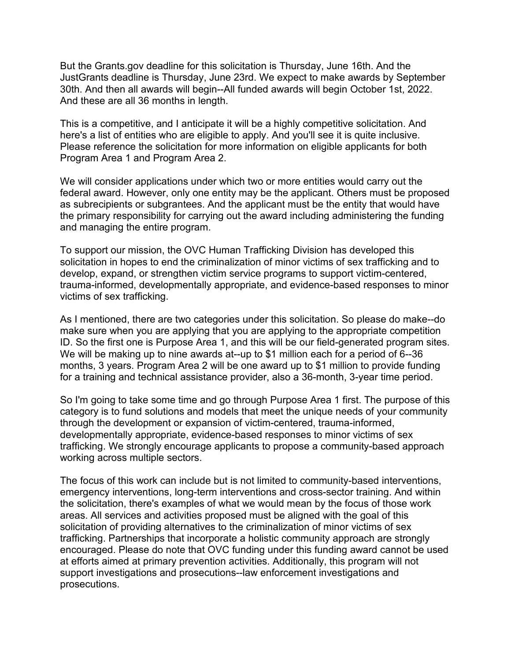But the Grants.gov deadline for this solicitation is Thursday, June 16th. And the JustGrants deadline is Thursday, June 23rd. We expect to make awards by September 30th. And then all awards will begin--All funded awards will begin October 1st, 2022. And these are all 36 months in length.

This is a competitive, and I anticipate it will be a highly competitive solicitation. And here's a list of entities who are eligible to apply. And you'll see it is quite inclusive. Please reference the solicitation for more information on eligible applicants for both Program Area 1 and Program Area 2.

We will consider applications under which two or more entities would carry out the federal award. However, only one entity may be the applicant. Others must be proposed as subrecipients or subgrantees. And the applicant must be the entity that would have the primary responsibility for carrying out the award including administering the funding and managing the entire program.

To support our mission, the OVC Human Trafficking Division has developed this solicitation in hopes to end the criminalization of minor victims of sex trafficking and to develop, expand, or strengthen victim service programs to support victim-centered, trauma-informed, developmentally appropriate, and evidence-based responses to minor victims of sex trafficking.

As I mentioned, there are two categories under this solicitation. So please do make--do make sure when you are applying that you are applying to the appropriate competition ID. So the first one is Purpose Area 1, and this will be our field-generated program sites. We will be making up to nine awards at--up to \$1 million each for a period of 6--36 months, 3 years. Program Area 2 will be one award up to \$1 million to provide funding for a training and technical assistance provider, also a 36-month, 3-year time period.

So I'm going to take some time and go through Purpose Area 1 first. The purpose of this category is to fund solutions and models that meet the unique needs of your community through the development or expansion of victim-centered, trauma-informed, developmentally appropriate, evidence-based responses to minor victims of sex trafficking. We strongly encourage applicants to propose a community-based approach working across multiple sectors.

The focus of this work can include but is not limited to community-based interventions, emergency interventions, long-term interventions and cross-sector training. And within the solicitation, there's examples of what we would mean by the focus of those work areas. All services and activities proposed must be aligned with the goal of this solicitation of providing alternatives to the criminalization of minor victims of sex trafficking. Partnerships that incorporate a holistic community approach are strongly encouraged. Please do note that OVC funding under this funding award cannot be used at efforts aimed at primary prevention activities. Additionally, this program will not support investigations and prosecutions--law enforcement investigations and prosecutions.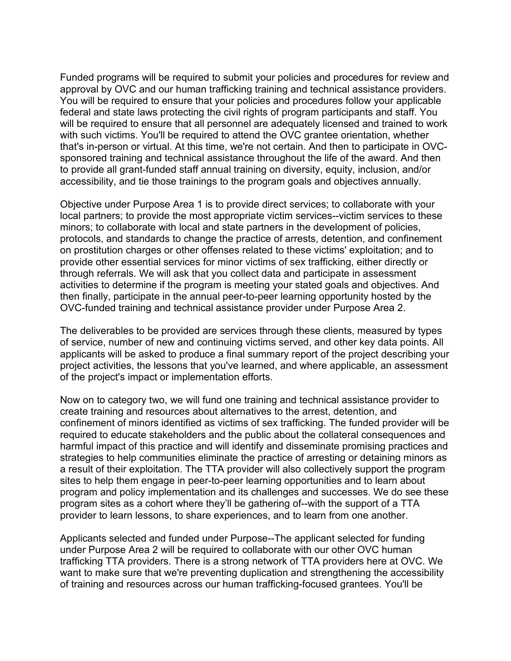Funded programs will be required to submit your policies and procedures for review and approval by OVC and our human trafficking training and technical assistance providers. You will be required to ensure that your policies and procedures follow your applicable federal and state laws protecting the civil rights of program participants and staff. You will be required to ensure that all personnel are adequately licensed and trained to work with such victims. You'll be required to attend the OVC grantee orientation, whether that's in-person or virtual. At this time, we're not certain. And then to participate in OVCsponsored training and technical assistance throughout the life of the award. And then to provide all grant-funded staff annual training on diversity, equity, inclusion, and/or accessibility, and tie those trainings to the program goals and objectives annually.

Objective under Purpose Area 1 is to provide direct services; to collaborate with your local partners; to provide the most appropriate victim services--victim services to these minors; to collaborate with local and state partners in the development of policies, protocols, and standards to change the practice of arrests, detention, and confinement on prostitution charges or other offenses related to these victims' exploitation; and to provide other essential services for minor victims of sex trafficking, either directly or through referrals. We will ask that you collect data and participate in assessment activities to determine if the program is meeting your stated goals and objectives. And then finally, participate in the annual peer-to-peer learning opportunity hosted by the OVC-funded training and technical assistance provider under Purpose Area 2.

The deliverables to be provided are services through these clients, measured by types of service, number of new and continuing victims served, and other key data points. All applicants will be asked to produce a final summary report of the project describing your project activities, the lessons that you've learned, and where applicable, an assessment of the project's impact or implementation efforts.

Now on to category two, we will fund one training and technical assistance provider to create training and resources about alternatives to the arrest, detention, and confinement of minors identified as victims of sex trafficking. The funded provider will be required to educate stakeholders and the public about the collateral consequences and harmful impact of this practice and will identify and disseminate promising practices and strategies to help communities eliminate the practice of arresting or detaining minors as a result of their exploitation. The TTA provider will also collectively support the program sites to help them engage in peer-to-peer learning opportunities and to learn about program and policy implementation and its challenges and successes. We do see these program sites as a cohort where they'll be gathering of--with the support of a TTA provider to learn lessons, to share experiences, and to learn from one another.

Applicants selected and funded under Purpose--The applicant selected for funding under Purpose Area 2 will be required to collaborate with our other OVC human trafficking TTA providers. There is a strong network of TTA providers here at OVC. We want to make sure that we're preventing duplication and strengthening the accessibility of training and resources across our human trafficking-focused grantees. You'll be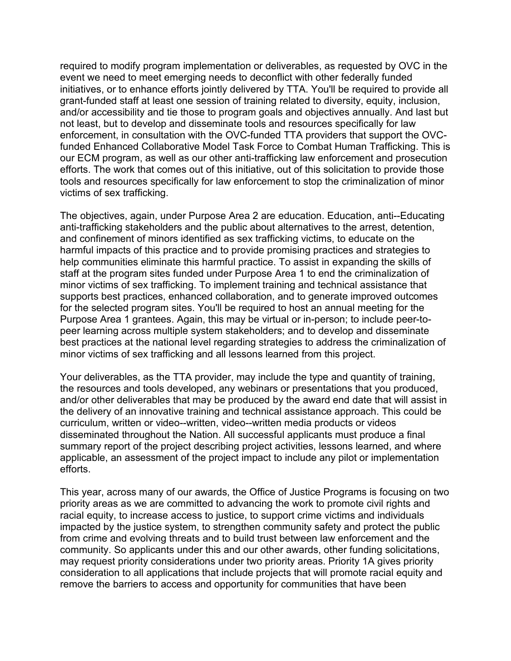required to modify program implementation or deliverables, as requested by OVC in the event we need to meet emerging needs to deconflict with other federally funded initiatives, or to enhance efforts jointly delivered by TTA. You'll be required to provide all grant-funded staff at least one session of training related to diversity, equity, inclusion, and/or accessibility and tie those to program goals and objectives annually. And last but not least, but to develop and disseminate tools and resources specifically for law enforcement, in consultation with the OVC-funded TTA providers that support the OVCfunded Enhanced Collaborative Model Task Force to Combat Human Trafficking. This is our ECM program, as well as our other anti-trafficking law enforcement and prosecution efforts. The work that comes out of this initiative, out of this solicitation to provide those tools and resources specifically for law enforcement to stop the criminalization of minor victims of sex trafficking.

The objectives, again, under Purpose Area 2 are education. Education, anti--Educating anti-trafficking stakeholders and the public about alternatives to the arrest, detention, and confinement of minors identified as sex trafficking victims, to educate on the harmful impacts of this practice and to provide promising practices and strategies to help communities eliminate this harmful practice. To assist in expanding the skills of staff at the program sites funded under Purpose Area 1 to end the criminalization of minor victims of sex trafficking. To implement training and technical assistance that supports best practices, enhanced collaboration, and to generate improved outcomes for the selected program sites. You'll be required to host an annual meeting for the Purpose Area 1 grantees. Again, this may be virtual or in-person; to include peer-topeer learning across multiple system stakeholders; and to develop and disseminate best practices at the national level regarding strategies to address the criminalization of minor victims of sex trafficking and all lessons learned from this project.

Your deliverables, as the TTA provider, may include the type and quantity of training, the resources and tools developed, any webinars or presentations that you produced, and/or other deliverables that may be produced by the award end date that will assist in the delivery of an innovative training and technical assistance approach. This could be curriculum, written or video--written, video--written media products or videos disseminated throughout the Nation. All successful applicants must produce a final summary report of the project describing project activities, lessons learned, and where applicable, an assessment of the project impact to include any pilot or implementation efforts.

This year, across many of our awards, the Office of Justice Programs is focusing on two priority areas as we are committed to advancing the work to promote civil rights and racial equity, to increase access to justice, to support crime victims and individuals impacted by the justice system, to strengthen community safety and protect the public from crime and evolving threats and to build trust between law enforcement and the community. So applicants under this and our other awards, other funding solicitations, may request priority considerations under two priority areas. Priority 1A gives priority consideration to all applications that include projects that will promote racial equity and remove the barriers to access and opportunity for communities that have been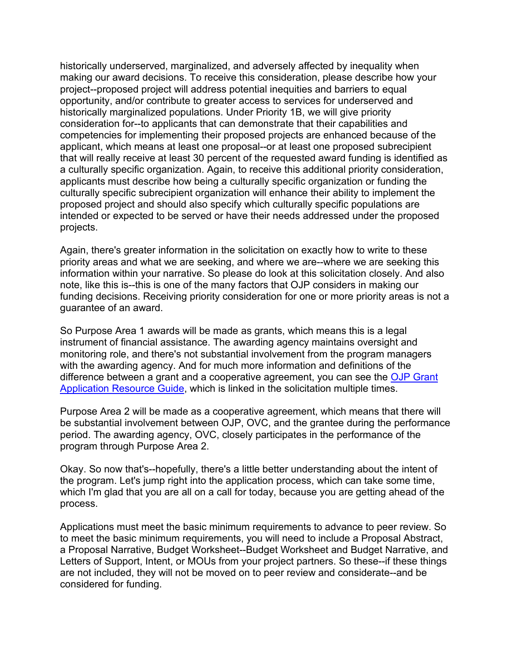historically underserved, marginalized, and adversely affected by inequality when making our award decisions. To receive this consideration, please describe how your project--proposed project will address potential inequities and barriers to equal opportunity, and/or contribute to greater access to services for underserved and historically marginalized populations. Under Priority 1B, we will give priority consideration for--to applicants that can demonstrate that their capabilities and competencies for implementing their proposed projects are enhanced because of the applicant, which means at least one proposal--or at least one proposed subrecipient that will really receive at least 30 percent of the requested award funding is identified as a culturally specific organization. Again, to receive this additional priority consideration, applicants must describe how being a culturally specific organization or funding the culturally specific subrecipient organization will enhance their ability to implement the proposed project and should also specify which culturally specific populations are intended or expected to be served or have their needs addressed under the proposed projects.

Again, there's greater information in the solicitation on exactly how to write to these priority areas and what we are seeking, and where we are--where we are seeking this information within your narrative. So please do look at this solicitation closely. And also note, like this is--this is one of the many factors that OJP considers in making our funding decisions. Receiving priority consideration for one or more priority areas is not a guarantee of an award.

So Purpose Area 1 awards will be made as grants, which means this is a legal instrument of financial assistance. The awarding agency maintains oversight and monitoring role, and there's not substantial involvement from the program managers with the awarding agency. And for much more information and definitions of the difference between a grant and a cooperative agreement, you can see the OJP Grant [Application Resource Guide,](https://www.ojp.gov/funding/apply/ojp-grant-application-resource-guide) which is linked in the solicitation multiple times.

Purpose Area 2 will be made as a cooperative agreement, which means that there will be substantial involvement between OJP, OVC, and the grantee during the performance period. The awarding agency, OVC, closely participates in the performance of the program through Purpose Area 2.

Okay. So now that's--hopefully, there's a little better understanding about the intent of the program. Let's jump right into the application process, which can take some time, which I'm glad that you are all on a call for today, because you are getting ahead of the process.

Applications must meet the basic minimum requirements to advance to peer review. So to meet the basic minimum requirements, you will need to include a Proposal Abstract, a Proposal Narrative, Budget Worksheet--Budget Worksheet and Budget Narrative, and Letters of Support, Intent, or MOUs from your project partners. So these--if these things are not included, they will not be moved on to peer review and considerate--and be considered for funding.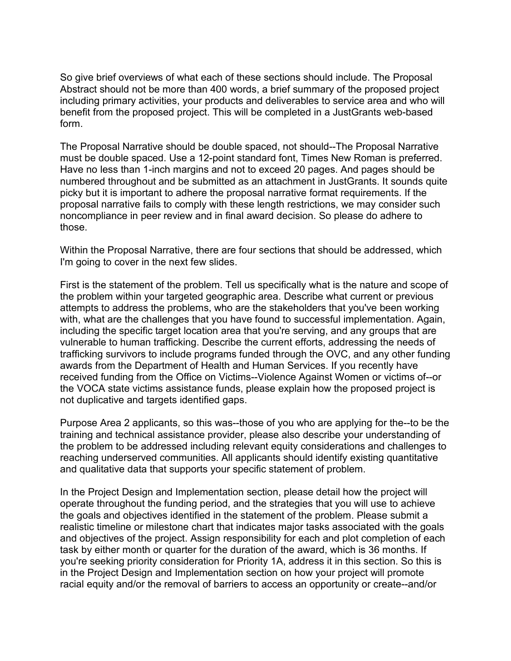So give brief overviews of what each of these sections should include. The Proposal Abstract should not be more than 400 words, a brief summary of the proposed project including primary activities, your products and deliverables to service area and who will benefit from the proposed project. This will be completed in a JustGrants web-based form.

The Proposal Narrative should be double spaced, not should--The Proposal Narrative must be double spaced. Use a 12-point standard font, Times New Roman is preferred. Have no less than 1-inch margins and not to exceed 20 pages. And pages should be numbered throughout and be submitted as an attachment in JustGrants. It sounds quite picky but it is important to adhere the proposal narrative format requirements. If the proposal narrative fails to comply with these length restrictions, we may consider such noncompliance in peer review and in final award decision. So please do adhere to those.

Within the Proposal Narrative, there are four sections that should be addressed, which I'm going to cover in the next few slides.

First is the statement of the problem. Tell us specifically what is the nature and scope of the problem within your targeted geographic area. Describe what current or previous attempts to address the problems, who are the stakeholders that you've been working with, what are the challenges that you have found to successful implementation. Again, including the specific target location area that you're serving, and any groups that are vulnerable to human trafficking. Describe the current efforts, addressing the needs of trafficking survivors to include programs funded through the OVC, and any other funding awards from the Department of Health and Human Services. If you recently have received funding from the Office on Victims--Violence Against Women or victims of--or the VOCA state victims assistance funds, please explain how the proposed project is not duplicative and targets identified gaps.

Purpose Area 2 applicants, so this was--those of you who are applying for the--to be the training and technical assistance provider, please also describe your understanding of the problem to be addressed including relevant equity considerations and challenges to reaching underserved communities. All applicants should identify existing quantitative and qualitative data that supports your specific statement of problem.

In the Project Design and Implementation section, please detail how the project will operate throughout the funding period, and the strategies that you will use to achieve the goals and objectives identified in the statement of the problem. Please submit a realistic timeline or milestone chart that indicates major tasks associated with the goals and objectives of the project. Assign responsibility for each and plot completion of each task by either month or quarter for the duration of the award, which is 36 months. If you're seeking priority consideration for Priority 1A, address it in this section. So this is in the Project Design and Implementation section on how your project will promote racial equity and/or the removal of barriers to access an opportunity or create--and/or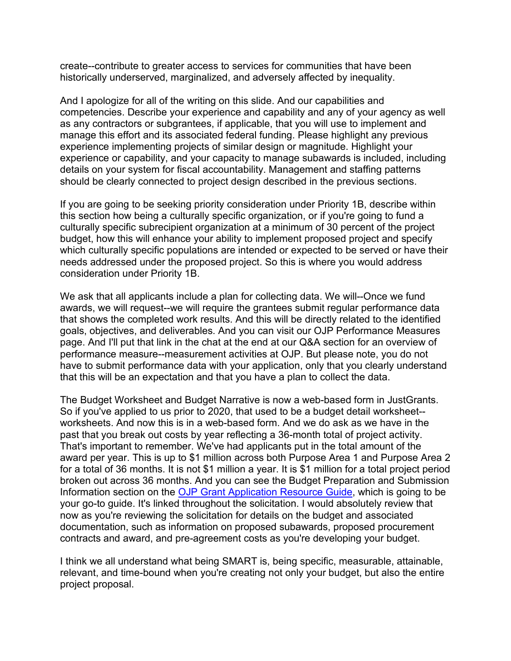create--contribute to greater access to services for communities that have been historically underserved, marginalized, and adversely affected by inequality.

And I apologize for all of the writing on this slide. And our capabilities and competencies. Describe your experience and capability and any of your agency as well as any contractors or subgrantees, if applicable, that you will use to implement and manage this effort and its associated federal funding. Please highlight any previous experience implementing projects of similar design or magnitude. Highlight your experience or capability, and your capacity to manage subawards is included, including details on your system for fiscal accountability. Management and staffing patterns should be clearly connected to project design described in the previous sections.

If you are going to be seeking priority consideration under Priority 1B, describe within this section how being a culturally specific organization, or if you're going to fund a culturally specific subrecipient organization at a minimum of 30 percent of the project budget, how this will enhance your ability to implement proposed project and specify which culturally specific populations are intended or expected to be served or have their needs addressed under the proposed project. So this is where you would address consideration under Priority 1B.

We ask that all applicants include a plan for collecting data. We will--Once we fund awards, we will request--we will require the grantees submit regular performance data that shows the completed work results. And this will be directly related to the identified goals, objectives, and deliverables. And you can visit our OJP Performance Measures page. And I'll put that link in the chat at the end at our Q&A section for an overview of performance measure--measurement activities at OJP. But please note, you do not have to submit performance data with your application, only that you clearly understand that this will be an expectation and that you have a plan to collect the data.

The Budget Worksheet and Budget Narrative is now a web-based form in JustGrants. So if you've applied to us prior to 2020, that used to be a budget detail worksheet- worksheets. And now this is in a web-based form. And we do ask as we have in the past that you break out costs by year reflecting a 36-month total of project activity. That's important to remember. We've had applicants put in the total amount of the award per year. This is up to \$1 million across both Purpose Area 1 and Purpose Area 2 for a total of 36 months. It is not \$1 million a year. It is \$1 million for a total project period broken out across 36 months. And you can see the Budget Preparation and Submission Information section on the [OJP Grant Application Resource Guide,](https://www.ojp.gov/funding/apply/ojp-grant-application-resource-guide) which is going to be your go-to guide. It's linked throughout the solicitation. I would absolutely review that now as you're reviewing the solicitation for details on the budget and associated documentation, such as information on proposed subawards, proposed procurement contracts and award, and pre-agreement costs as you're developing your budget.

I think we all understand what being SMART is, being specific, measurable, attainable, relevant, and time-bound when you're creating not only your budget, but also the entire project proposal.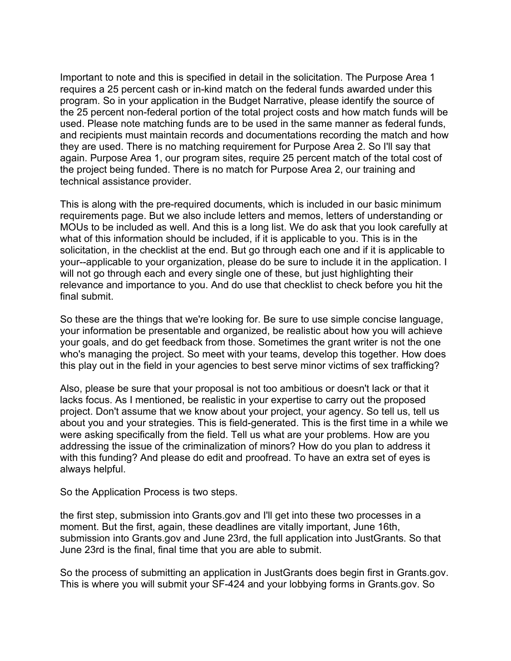Important to note and this is specified in detail in the solicitation. The Purpose Area 1 requires a 25 percent cash or in-kind match on the federal funds awarded under this program. So in your application in the Budget Narrative, please identify the source of the 25 percent non-federal portion of the total project costs and how match funds will be used. Please note matching funds are to be used in the same manner as federal funds, and recipients must maintain records and documentations recording the match and how they are used. There is no matching requirement for Purpose Area 2. So I'll say that again. Purpose Area 1, our program sites, require 25 percent match of the total cost of the project being funded. There is no match for Purpose Area 2, our training and technical assistance provider.

This is along with the pre-required documents, which is included in our basic minimum requirements page. But we also include letters and memos, letters of understanding or MOUs to be included as well. And this is a long list. We do ask that you look carefully at what of this information should be included, if it is applicable to you. This is in the solicitation, in the checklist at the end. But go through each one and if it is applicable to your--applicable to your organization, please do be sure to include it in the application. I will not go through each and every single one of these, but just highlighting their relevance and importance to you. And do use that checklist to check before you hit the final submit.

So these are the things that we're looking for. Be sure to use simple concise language, your information be presentable and organized, be realistic about how you will achieve your goals, and do get feedback from those. Sometimes the grant writer is not the one who's managing the project. So meet with your teams, develop this together. How does this play out in the field in your agencies to best serve minor victims of sex trafficking?

Also, please be sure that your proposal is not too ambitious or doesn't lack or that it lacks focus. As I mentioned, be realistic in your expertise to carry out the proposed project. Don't assume that we know about your project, your agency. So tell us, tell us about you and your strategies. This is field-generated. This is the first time in a while we were asking specifically from the field. Tell us what are your problems. How are you addressing the issue of the criminalization of minors? How do you plan to address it with this funding? And please do edit and proofread. To have an extra set of eyes is always helpful.

So the Application Process is two steps.

the first step, submission into Grants.gov and I'll get into these two processes in a moment. But the first, again, these deadlines are vitally important, June 16th, submission into Grants.gov and June 23rd, the full application into JustGrants. So that June 23rd is the final, final time that you are able to submit.

So the process of submitting an application in JustGrants does begin first in Grants.gov. This is where you will submit your SF-424 and your lobbying forms in Grants.gov. So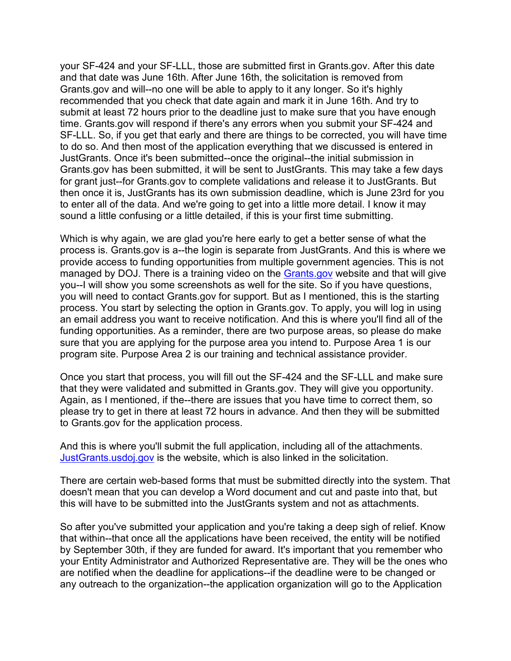your SF-424 and your SF-LLL, those are submitted first in Grants.gov. After this date and that date was June 16th. After June 16th, the solicitation is removed from Grants.gov and will--no one will be able to apply to it any longer. So it's highly recommended that you check that date again and mark it in June 16th. And try to submit at least 72 hours prior to the deadline just to make sure that you have enough time. Grants.gov will respond if there's any errors when you submit your SF-424 and SF-LLL. So, if you get that early and there are things to be corrected, you will have time to do so. And then most of the application everything that we discussed is entered in JustGrants. Once it's been submitted--once the original--the initial submission in Grants.gov has been submitted, it will be sent to JustGrants. This may take a few days for grant just--for Grants.gov to complete validations and release it to JustGrants. But then once it is, JustGrants has its own submission deadline, which is June 23rd for you to enter all of the data. And we're going to get into a little more detail. I know it may sound a little confusing or a little detailed, if this is your first time submitting.

Which is why again, we are glad you're here early to get a better sense of what the process is. Grants.gov is a--the login is separate from JustGrants. And this is where we provide access to funding opportunities from multiple government agencies. This is not managed by DOJ. There is a training video on the [Grants.gov](https://www.grants.gov/) website and that will give you--I will show you some screenshots as well for the site. So if you have questions, you will need to contact Grants.gov for support. But as I mentioned, this is the starting process. You start by selecting the option in Grants.gov. To apply, you will log in using an email address you want to receive notification. And this is where you'll find all of the funding opportunities. As a reminder, there are two purpose areas, so please do make sure that you are applying for the purpose area you intend to. Purpose Area 1 is our program site. Purpose Area 2 is our training and technical assistance provider.

Once you start that process, you will fill out the SF-424 and the SF-LLL and make sure that they were validated and submitted in Grants.gov. They will give you opportunity. Again, as I mentioned, if the--there are issues that you have time to correct them, so please try to get in there at least 72 hours in advance. And then they will be submitted to Grants.gov for the application process.

And this is where you'll submit the full application, including all of the attachments. [JustGrants.usdoj.gov](https://justgrants.usdoj.gov/) is the website, which is also linked in the solicitation.

There are certain web-based forms that must be submitted directly into the system. That doesn't mean that you can develop a Word document and cut and paste into that, but this will have to be submitted into the JustGrants system and not as attachments.

So after you've submitted your application and you're taking a deep sigh of relief. Know that within--that once all the applications have been received, the entity will be notified by September 30th, if they are funded for award. It's important that you remember who your Entity Administrator and Authorized Representative are. They will be the ones who are notified when the deadline for applications--if the deadline were to be changed or any outreach to the organization--the application organization will go to the Application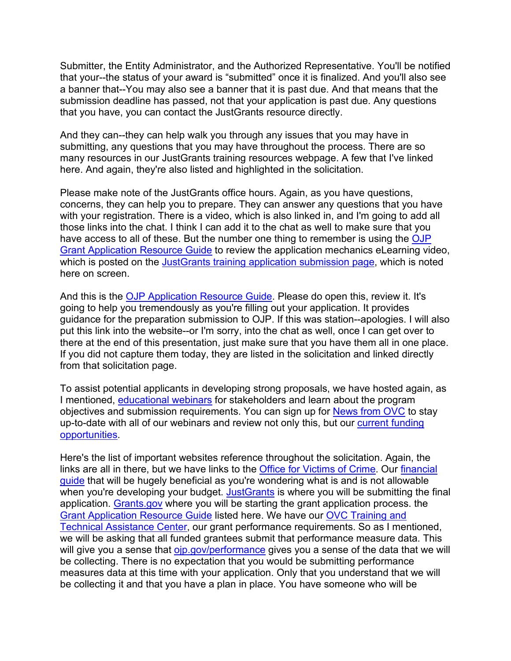Submitter, the Entity Administrator, and the Authorized Representative. You'll be notified that your--the status of your award is "submitted" once it is finalized. And you'll also see a banner that--You may also see a banner that it is past due. And that means that the submission deadline has passed, not that your application is past due. Any questions that you have, you can contact the JustGrants resource directly.

And they can--they can help walk you through any issues that you may have in submitting, any questions that you may have throughout the process. There are so many resources in our JustGrants training resources webpage. A few that I've linked here. And again, they're also listed and highlighted in the solicitation.

Please make note of the JustGrants office hours. Again, as you have questions, concerns, they can help you to prepare. They can answer any questions that you have with your registration. There is a video, which is also linked in, and I'm going to add all those links into the chat. I think I can add it to the chat as well to make sure that you have access to all of these. But the number one thing to remember is using the [OJP](https://www.ojp.gov/funding/apply/ojp-grant-application-resource-guide)  [Grant Application Resource Guide](https://www.ojp.gov/funding/apply/ojp-grant-application-resource-guide) to review the application mechanics eLearning video, which is posted on the [JustGrants training application submission page,](https://justicegrants.usdoj.gov/training/training-virtual-sessions) which is noted here on screen.

And this is the [OJP Application Resource Guide.](https://www.ojp.gov/funding/apply/ojp-grant-application-resource-guide) Please do open this, review it. It's going to help you tremendously as you're filling out your application. It provides guidance for the preparation submission to OJP. If this was station--apologies. I will also put this link into the website--or I'm sorry, into the chat as well, once I can get over to there at the end of this presentation, just make sure that you have them all in one place. If you did not capture them today, they are listed in the solicitation and linked directly from that solicitation page.

To assist potential applicants in developing strong proposals, we have hosted again, as I mentioned, [educational webinars](https://ovc.ojp.gov/funding/funding-webinars#recorded-pre-application-webinars) for stakeholders and learn about the program objectives and submission requirements. You can sign up for [News from OVC](https://puborder.ncjrs.gov/Listservs/subscribe_newsfromovc.asp) to stay up-to-date with all of our webinars and review not only this, but our [current funding](https://ovc.ojp.gov/news/announcement/apply-funding-enhance-services-victims-crime)  [opportunities.](https://ovc.ojp.gov/news/announcement/apply-funding-enhance-services-victims-crime)

Here's the list of important websites reference throughout the solicitation. Again, the links are all in there, but we have links to the [Office for Victims of Crime.](https://ovc.ojp.gov/) Our [financial](https://www.ojp.gov/funding/financialguidedoj/overview)  [guide](https://www.ojp.gov/funding/financialguidedoj/overview) that will be hugely beneficial as you're wondering what is and is not allowable when you're developing your budget. [JustGrants](https://justgrants.usdoj.gov/) is where you will be submitting the final application. [Grants.gov](https://www.grants.gov/) where you will be starting the grant application process. the [Grant Application Resource Guide](https://www.ojp.gov/funding/apply/ojp-grant-application-resource-guide) listed here. We have our [OVC Training and](http://www.ovcttac.gov/)  [Technical Assistance Center,](http://www.ovcttac.gov/) our grant performance requirements. So as I mentioned, we will be asking that all funded grantees submit that performance measure data. This will give you a sense that [ojp.gov/performance](https://ojp.gov/performance) gives you a sense of the data that we will be collecting. There is no expectation that you would be submitting performance measures data at this time with your application. Only that you understand that we will be collecting it and that you have a plan in place. You have someone who will be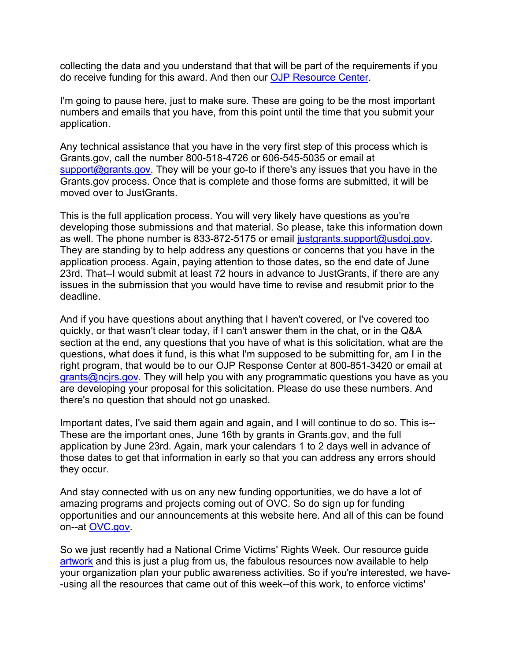collecting the data and you understand that that will be part of the requirements if you do receive funding for this award. And then our [OJP Resource Center.](https://ojp.gov/ncjrs/new-ojp-resources)

I'm going to pause here, just to make sure. These are going to be the most important numbers and emails that you have, from this point until the time that you submit your application.

Any technical assistance that you have in the very first step of this process which is Grants.gov, call the number 800-518-4726 or 606-545-5035 or email at [support@grants.gov.](mailto:support@grants.gov) They will be your go-to if there's any issues that you have in the Grants.gov process. Once that is complete and those forms are submitted, it will be moved over to JustGrants.

This is the full application process. You will very likely have questions as you're developing those submissions and that material. So please, take this information down as well. The phone number is 833-872-5175 or email [justgrants.support@usdoj.gov.](mailto:justgrants.support@usdoj.gov) They are standing by to help address any questions or concerns that you have in the application process. Again, paying attention to those dates, so the end date of June 23rd. That--I would submit at least 72 hours in advance to JustGrants, if there are any issues in the submission that you would have time to revise and resubmit prior to the deadline.

And if you have questions about anything that I haven't covered, or I've covered too quickly, or that wasn't clear today, if I can't answer them in the chat, or in the Q&A section at the end, any questions that you have of what is this solicitation, what are the questions, what does it fund, is this what I'm supposed to be submitting for, am I in the right program, that would be to our OJP Response Center at 800-851-3420 or email at [grants@ncjrs.gov.](mailto:grants@ncjrs.gov) They will help you with any programmatic questions you have as you are developing your proposal for this solicitation. Please do use these numbers. And there's no question that should not go unasked.

Important dates, I've said them again and again, and I will continue to do so. This is-- These are the important ones, June 16th by grants in Grants.gov, and the full application by June 23rd. Again, mark your calendars 1 to 2 days well in advance of those dates to get that information in early so that you can address any errors should they occur.

And stay connected with us on any new funding opportunities, we do have a lot of amazing programs and projects coming out of OVC. So do sign up for funding opportunities and our announcements at this website here. And all of this can be found on--at [OVC.gov.](https://puborder.ncjrs.gov/Listservs/subscribe_newsfromovc.asp)

So we just recently had a National Crime Victims' Rights Week. Our resource guide [artwork](https://ovc.ojp.gov/ncvrw2022/ncvrw-artwork) and this is just a plug from us, the fabulous resources now available to help your organization plan your public awareness activities. So if you're interested, we have- -using all the resources that came out of this week--of this work, to enforce victims'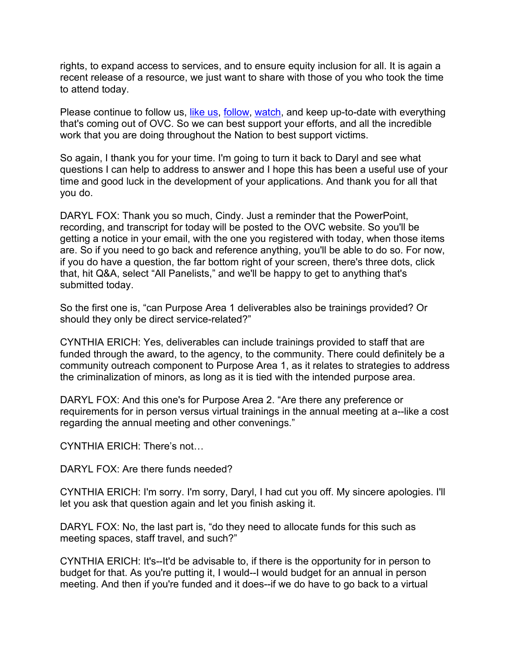rights, to expand access to services, and to ensure equity inclusion for all. It is again a recent release of a resource, we just want to share with those of you who took the time to attend today.

Please continue to follow us, [like us,](https://www.facebook.com/OJPOVC) [follow,](https://twitter.com/OJPOVC) [watch,](https://www.youtube.com/user/OJPOVC) and keep up-to-date with everything that's coming out of OVC. So we can best support your efforts, and all the incredible work that you are doing throughout the Nation to best support victims.

So again, I thank you for your time. I'm going to turn it back to Daryl and see what questions I can help to address to answer and I hope this has been a useful use of your time and good luck in the development of your applications. And thank you for all that you do.

DARYL FOX: Thank you so much, Cindy. Just a reminder that the PowerPoint, recording, and transcript for today will be posted to the OVC website. So you'll be getting a notice in your email, with the one you registered with today, when those items are. So if you need to go back and reference anything, you'll be able to do so. For now, if you do have a question, the far bottom right of your screen, there's three dots, click that, hit Q&A, select "All Panelists," and we'll be happy to get to anything that's submitted today.

So the first one is, "can Purpose Area 1 deliverables also be trainings provided? Or should they only be direct service-related?"

CYNTHIA ERICH: Yes, deliverables can include trainings provided to staff that are funded through the award, to the agency, to the community. There could definitely be a community outreach component to Purpose Area 1, as it relates to strategies to address the criminalization of minors, as long as it is tied with the intended purpose area.

DARYL FOX: And this one's for Purpose Area 2. "Are there any preference or requirements for in person versus virtual trainings in the annual meeting at a--like a cost regarding the annual meeting and other convenings."

CYNTHIA ERICH: There's not…

DARYL FOX: Are there funds needed?

CYNTHIA ERICH: I'm sorry. I'm sorry, Daryl, I had cut you off. My sincere apologies. I'll let you ask that question again and let you finish asking it.

DARYL FOX: No, the last part is, "do they need to allocate funds for this such as meeting spaces, staff travel, and such?"

CYNTHIA ERICH: It's--It'd be advisable to, if there is the opportunity for in person to budget for that. As you're putting it, I would--I would budget for an annual in person meeting. And then if you're funded and it does--if we do have to go back to a virtual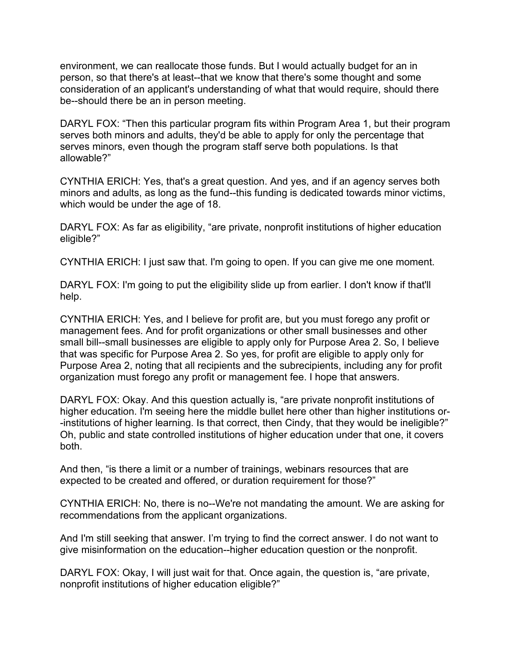environment, we can reallocate those funds. But I would actually budget for an in person, so that there's at least--that we know that there's some thought and some consideration of an applicant's understanding of what that would require, should there be--should there be an in person meeting.

DARYL FOX: "Then this particular program fits within Program Area 1, but their program serves both minors and adults, they'd be able to apply for only the percentage that serves minors, even though the program staff serve both populations. Is that allowable?"

CYNTHIA ERICH: Yes, that's a great question. And yes, and if an agency serves both minors and adults, as long as the fund--this funding is dedicated towards minor victims, which would be under the age of 18.

DARYL FOX: As far as eligibility, "are private, nonprofit institutions of higher education eligible?"

CYNTHIA ERICH: I just saw that. I'm going to open. If you can give me one moment.

DARYL FOX: I'm going to put the eligibility slide up from earlier. I don't know if that'll help.

CYNTHIA ERICH: Yes, and I believe for profit are, but you must forego any profit or management fees. And for profit organizations or other small businesses and other small bill--small businesses are eligible to apply only for Purpose Area 2. So, I believe that was specific for Purpose Area 2. So yes, for profit are eligible to apply only for Purpose Area 2, noting that all recipients and the subrecipients, including any for profit organization must forego any profit or management fee. I hope that answers.

DARYL FOX: Okay. And this question actually is, "are private nonprofit institutions of higher education. I'm seeing here the middle bullet here other than higher institutions or- -institutions of higher learning. Is that correct, then Cindy, that they would be ineligible?" Oh, public and state controlled institutions of higher education under that one, it covers both.

And then, "is there a limit or a number of trainings, webinars resources that are expected to be created and offered, or duration requirement for those?"

CYNTHIA ERICH: No, there is no--We're not mandating the amount. We are asking for recommendations from the applicant organizations.

And I'm still seeking that answer. I'm trying to find the correct answer. I do not want to give misinformation on the education--higher education question or the nonprofit.

DARYL FOX: Okay, I will just wait for that. Once again, the question is, "are private, nonprofit institutions of higher education eligible?"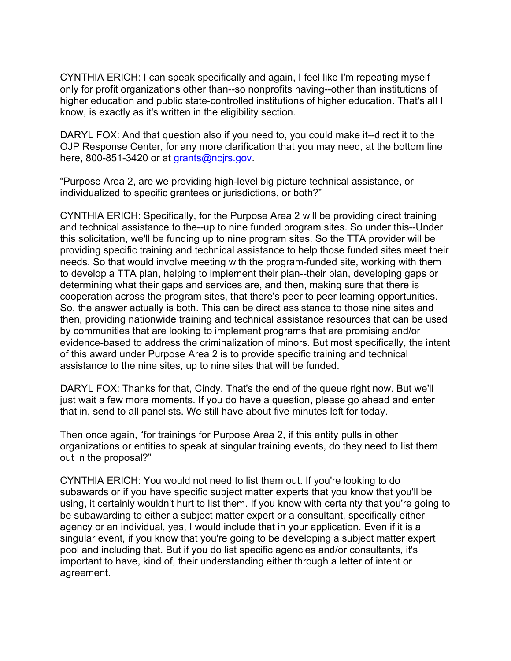CYNTHIA ERICH: I can speak specifically and again, I feel like I'm repeating myself only for profit organizations other than--so nonprofits having--other than institutions of higher education and public state-controlled institutions of higher education. That's all I know, is exactly as it's written in the eligibility section.

DARYL FOX: And that question also if you need to, you could make it--direct it to the OJP Response Center, for any more clarification that you may need, at the bottom line here, 800-851-3420 or at grants@ncirs.gov.

"Purpose Area 2, are we providing high-level big picture technical assistance, or individualized to specific grantees or jurisdictions, or both?"

CYNTHIA ERICH: Specifically, for the Purpose Area 2 will be providing direct training and technical assistance to the--up to nine funded program sites. So under this--Under this solicitation, we'll be funding up to nine program sites. So the TTA provider will be providing specific training and technical assistance to help those funded sites meet their needs. So that would involve meeting with the program-funded site, working with them to develop a TTA plan, helping to implement their plan--their plan, developing gaps or determining what their gaps and services are, and then, making sure that there is cooperation across the program sites, that there's peer to peer learning opportunities. So, the answer actually is both. This can be direct assistance to those nine sites and then, providing nationwide training and technical assistance resources that can be used by communities that are looking to implement programs that are promising and/or evidence-based to address the criminalization of minors. But most specifically, the intent of this award under Purpose Area 2 is to provide specific training and technical assistance to the nine sites, up to nine sites that will be funded.

DARYL FOX: Thanks for that, Cindy. That's the end of the queue right now. But we'll just wait a few more moments. If you do have a question, please go ahead and enter that in, send to all panelists. We still have about five minutes left for today.

Then once again, "for trainings for Purpose Area 2, if this entity pulls in other organizations or entities to speak at singular training events, do they need to list them out in the proposal?"

CYNTHIA ERICH: You would not need to list them out. If you're looking to do subawards or if you have specific subject matter experts that you know that you'll be using, it certainly wouldn't hurt to list them. If you know with certainty that you're going to be subawarding to either a subject matter expert or a consultant, specifically either agency or an individual, yes, I would include that in your application. Even if it is a singular event, if you know that you're going to be developing a subject matter expert pool and including that. But if you do list specific agencies and/or consultants, it's important to have, kind of, their understanding either through a letter of intent or agreement.